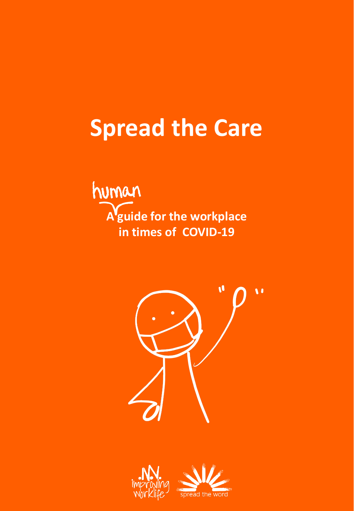# **Spread the Care**

human **A guide for the workplace in times of COVID-19**





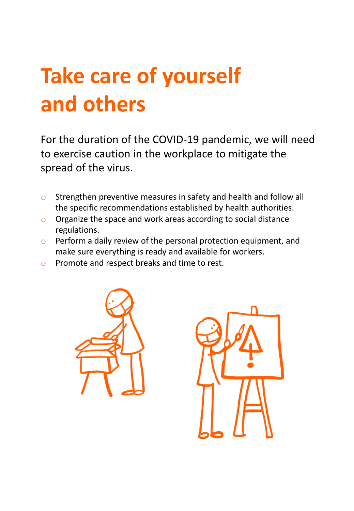# **Take care of yourself and others**

For the duration of the COVID-19 pandemic, we will need to exercise caution in the workplace to mitigate the spread of the virus.

- o Strengthen preventive measures in safety and health and follow all the specific recommendations established by health authorities.
- o Organize the space and work areas according to social distance regulations.
- o Perform a daily review of the personal protection equipment, and make sure everything is ready and available for workers.
- o Promote and respect breaks and time to rest.



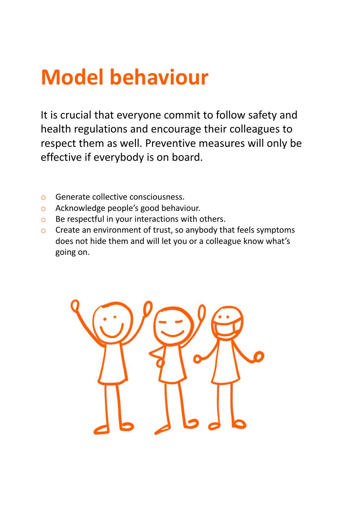# **Model behaviour**

It is crucial that everyone commit to follow safety and health regulations and encourage their colleagues to respect them as well. Preventive measures will only be effective if everybody is on board.

- o Generate collective consciousness.
- o Acknowledge people's good behaviour.
- o Be respectful in your interactions with others.
- o Create an environment of trust, so anybody that feels symptoms does not hide them and will let you or a colleague know what's going on.

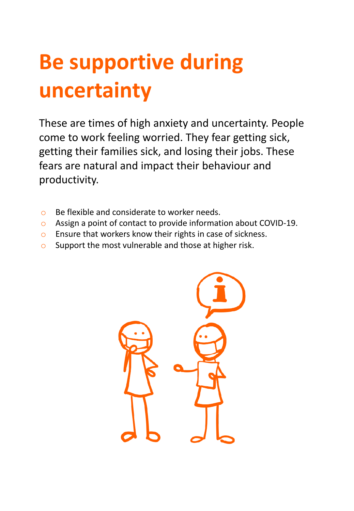# **Be supportive during uncertainty**

These are times of high anxiety and uncertainty. People come to work feeling worried. They fear getting sick, getting their families sick, and losing their jobs. These fears are natural and impact their behaviour and productivity.

- o Be flexible and considerate to worker needs.
- o Assign a point of contact to provide information about COVID-19.
- o Ensure that workers know their rights in case of sickness.
- o Support the most vulnerable and those at higher risk.

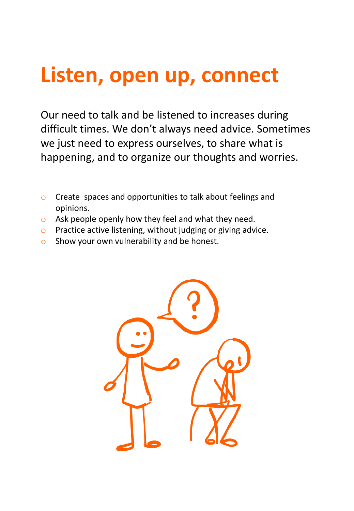# **Listen, open up, connect**

Our need to talk and be listened to increases during difficult times. We don't always need advice. Sometimes we just need to express ourselves, to share what is happening, and to organize our thoughts and worries.

- o Create spaces and opportunities to talk about feelings and opinions.
- o Ask people openly how they feel and what they need.
- o Practice active listening, without judging or giving advice.
- o Show your own vulnerability and be honest.

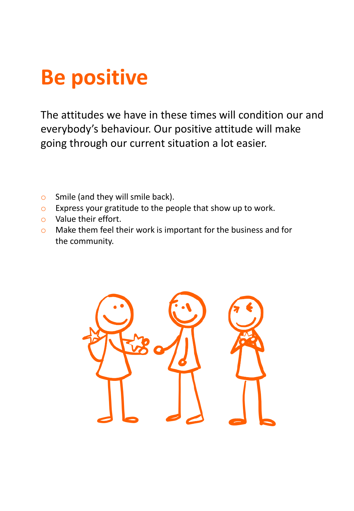# **Be positive**

The attitudes we have in these times will condition our and everybody's behaviour. Our positive attitude will make going through our current situation a lot easier.

- o Smile (and they will smile back).
- o Express your gratitude to the people that show up to work.
- o Value their effort.
- o Make them feel their work is important for the business and for the community.

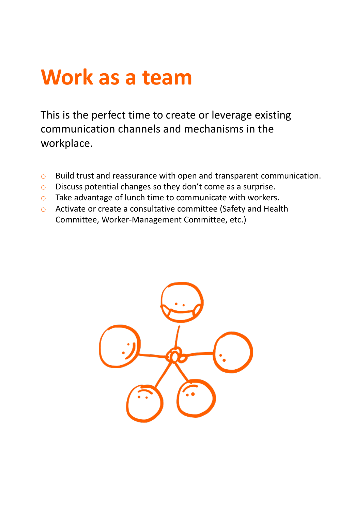## **Work as a team**

This is the perfect time to create or leverage existing communication channels and mechanisms in the workplace.

- o Build trust and reassurance with open and transparent communication.
- o Discuss potential changes so they don't come as a surprise.
- o Take advantage of lunch time to communicate with workers.
- o Activate or create a consultative committee (Safety and Health Committee, Worker-Management Committee, etc.)

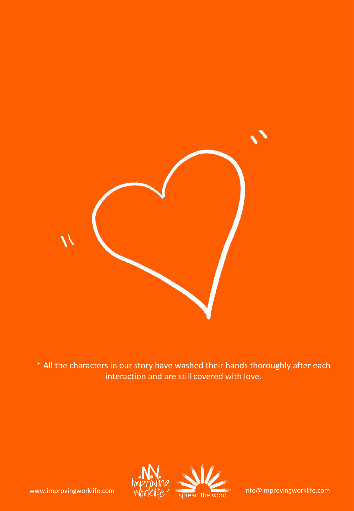

\* All the characters in our story have washed their hands thoroughly after each interaction and are still covered with love.